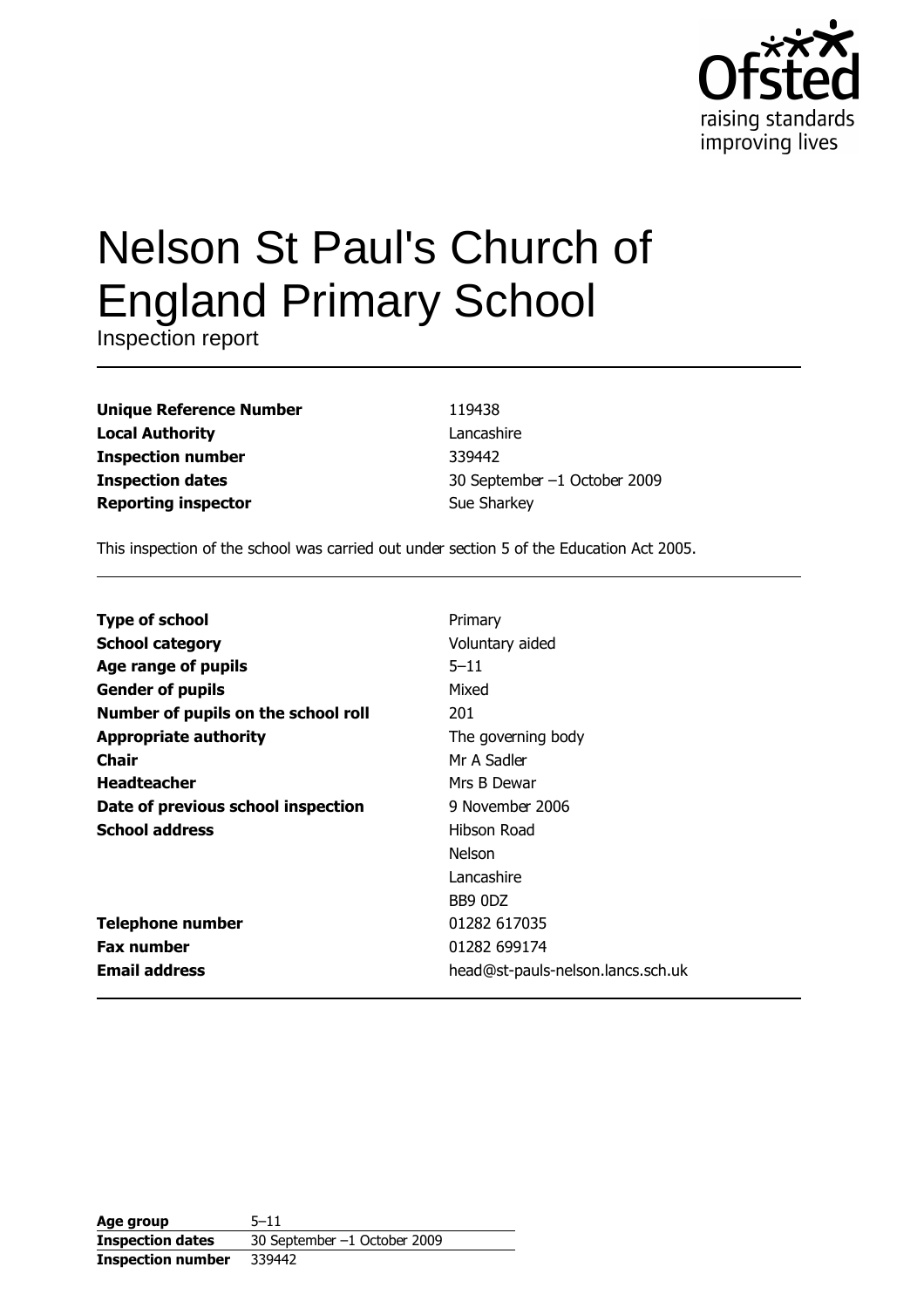

# **Nelson St Paul's Church of England Primary School**

Inspection report

| <b>Unique Reference Number</b> |  |
|--------------------------------|--|
| <b>Local Authority</b>         |  |
| <b>Inspection number</b>       |  |
| <b>Inspection dates</b>        |  |
| <b>Reporting inspector</b>     |  |

119438 Lancashire 339442 30 September -1 October 2009 Sue Sharkey

This inspection of the school was carried out under section 5 of the Education Act 2005.

| <b>Type of school</b>               | Primary                           |
|-------------------------------------|-----------------------------------|
| <b>School category</b>              | Voluntary aided                   |
| Age range of pupils                 | $5 - 11$                          |
| <b>Gender of pupils</b>             | Mixed                             |
| Number of pupils on the school roll | 201                               |
| <b>Appropriate authority</b>        | The governing body                |
| <b>Chair</b>                        | Mr A Sadler                       |
| <b>Headteacher</b>                  | Mrs B Dewar                       |
| Date of previous school inspection  | 9 November 2006                   |
| <b>School address</b>               | Hibson Road                       |
|                                     | <b>Nelson</b>                     |
|                                     | Lancashire                        |
|                                     | BB9 0DZ                           |
| <b>Telephone number</b>             | 01282 617035                      |
| <b>Fax number</b>                   | 01282 699174                      |
| <b>Email address</b>                | head@st-pauls-nelson.lancs.sch.uk |

Age group  $5 - 11$ 30 September -1 October 2009 **Inspection dates Inspection number** 339442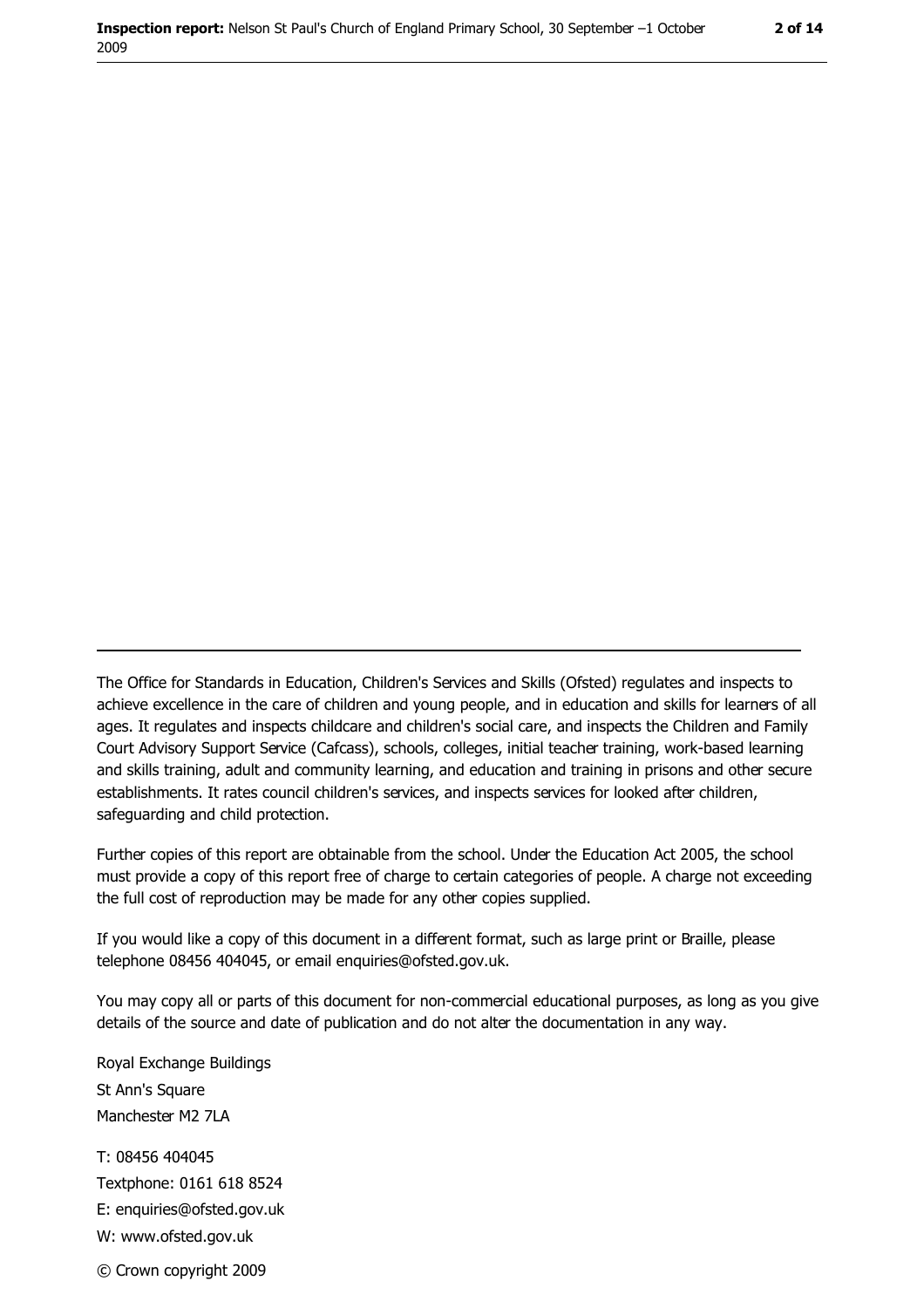The Office for Standards in Education, Children's Services and Skills (Ofsted) regulates and inspects to achieve excellence in the care of children and young people, and in education and skills for learners of all ages. It regulates and inspects childcare and children's social care, and inspects the Children and Family Court Advisory Support Service (Cafcass), schools, colleges, initial teacher training, work-based learning and skills training, adult and community learning, and education and training in prisons and other secure establishments. It rates council children's services, and inspects services for looked after children, safequarding and child protection.

Further copies of this report are obtainable from the school. Under the Education Act 2005, the school must provide a copy of this report free of charge to certain categories of people. A charge not exceeding the full cost of reproduction may be made for any other copies supplied.

If you would like a copy of this document in a different format, such as large print or Braille, please telephone 08456 404045, or email enquiries@ofsted.gov.uk.

You may copy all or parts of this document for non-commercial educational purposes, as long as you give details of the source and date of publication and do not alter the documentation in any way.

Royal Exchange Buildings St Ann's Square Manchester M2 7LA T: 08456 404045 Textphone: 0161 618 8524 E: enquiries@ofsted.gov.uk W: www.ofsted.gov.uk

© Crown copyright 2009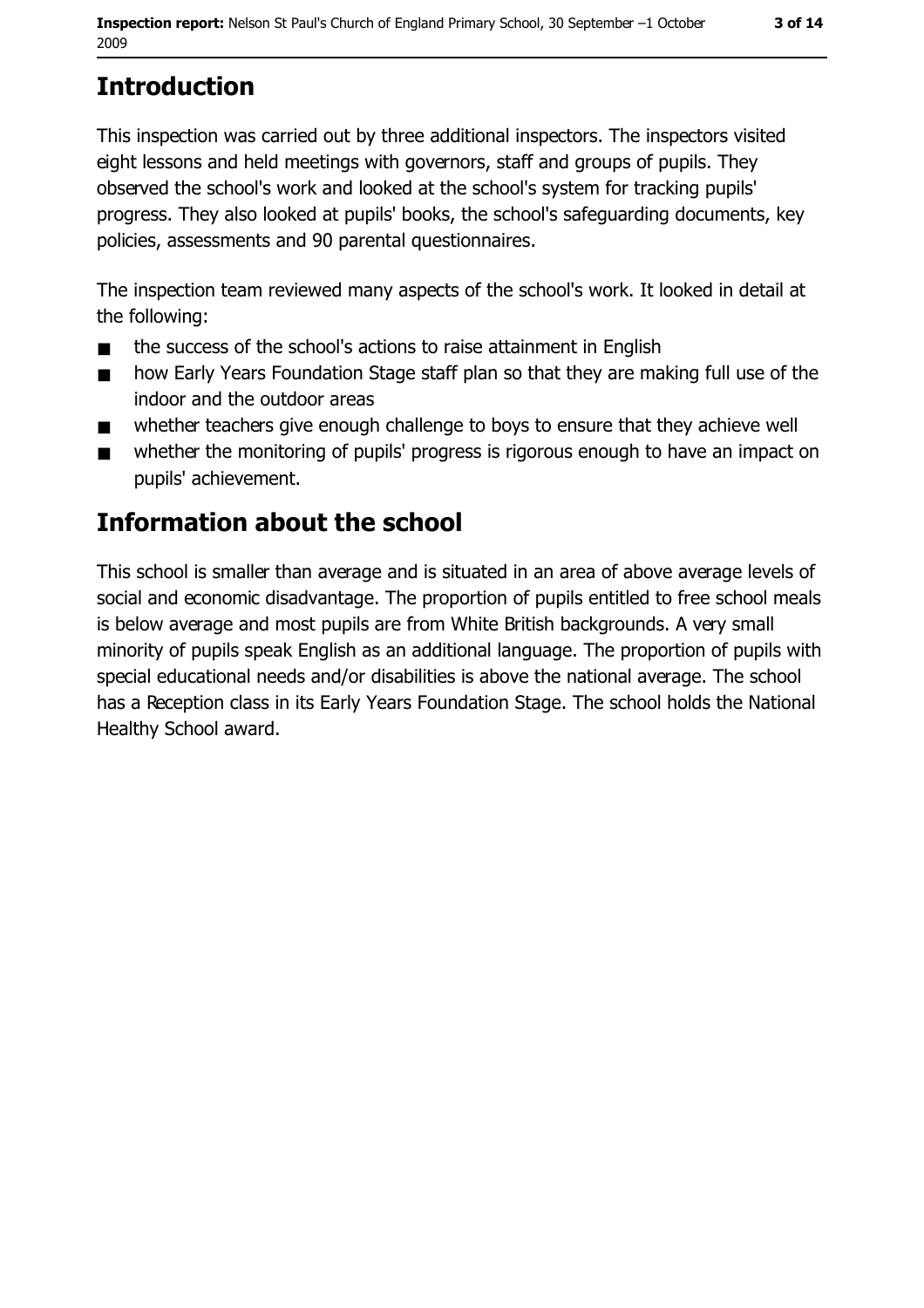# **Introduction**

This inspection was carried out by three additional inspectors. The inspectors visited eight lessons and held meetings with governors, staff and groups of pupils. They observed the school's work and looked at the school's system for tracking pupils' progress. They also looked at pupils' books, the school's safeguarding documents, key policies, assessments and 90 parental questionnaires.

The inspection team reviewed many aspects of the school's work. It looked in detail at the following:

- the success of the school's actions to raise attainment in English  $\blacksquare$
- how Early Years Foundation Stage staff plan so that they are making full use of the  $\blacksquare$ indoor and the outdoor areas
- whether teachers give enough challenge to boys to ensure that they achieve well  $\blacksquare$
- whether the monitoring of pupils' progress is rigorous enough to have an impact on  $\blacksquare$ pupils' achievement.

## **Information about the school**

This school is smaller than average and is situated in an area of above average levels of social and economic disadvantage. The proportion of pupils entitled to free school meals is below average and most pupils are from White British backgrounds. A very small minority of pupils speak English as an additional language. The proportion of pupils with special educational needs and/or disabilities is above the national average. The school has a Reception class in its Early Years Foundation Stage. The school holds the National Healthy School award.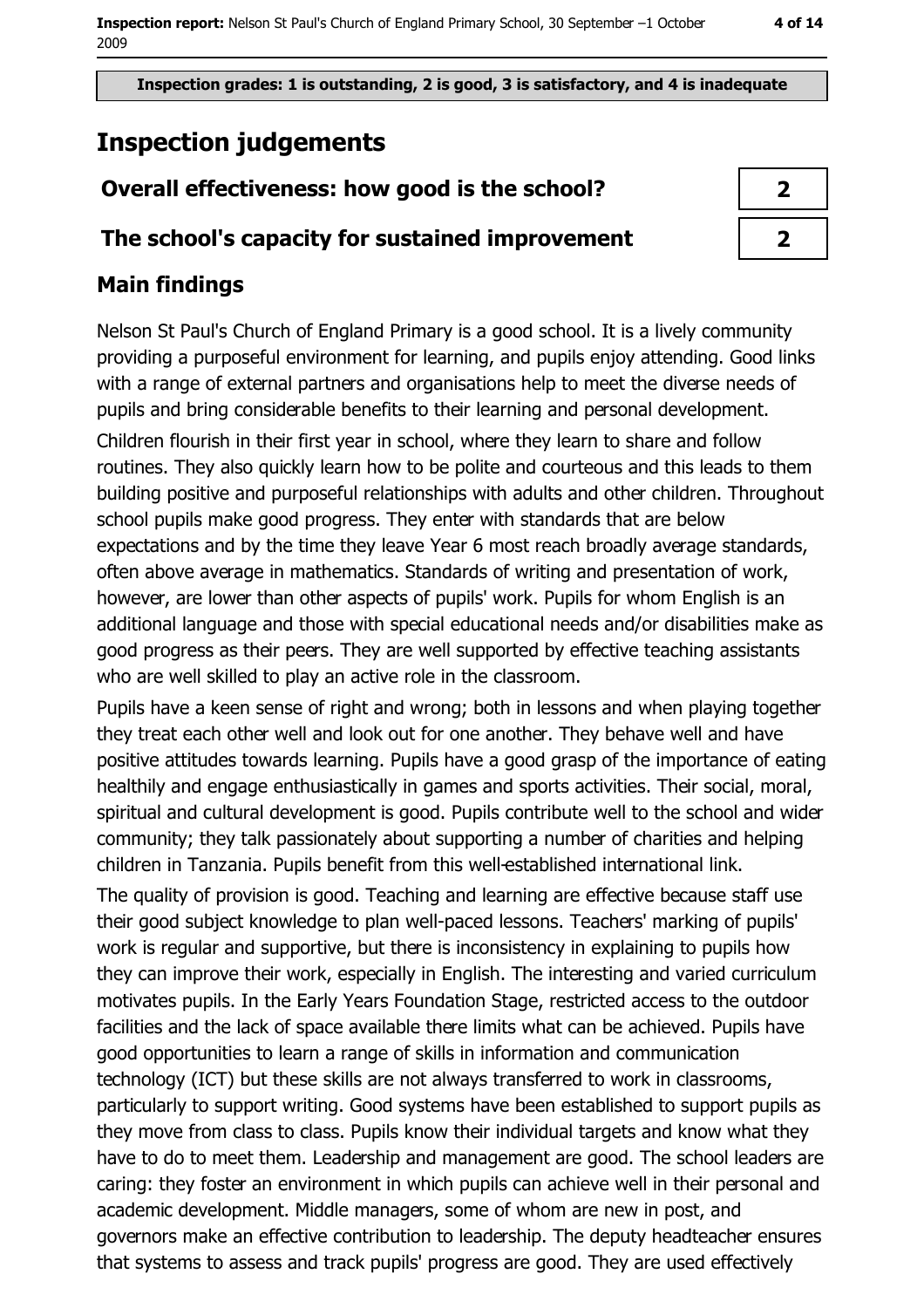Inspection grades: 1 is outstanding, 2 is good, 3 is satisfactory, and 4 is inadequate

# **Inspection judgements**

## Overall effectiveness: how good is the school?

#### The school's capacity for sustained improvement

## **Main findings**

Nelson St Paul's Church of England Primary is a good school. It is a lively community providing a purposeful environment for learning, and pupils enjoy attending. Good links with a range of external partners and organisations help to meet the diverse needs of pupils and bring considerable benefits to their learning and personal development. Children flourish in their first year in school, where they learn to share and follow routines. They also quickly learn how to be polite and courteous and this leads to them building positive and purposeful relationships with adults and other children. Throughout school pupils make good progress. They enter with standards that are below expectations and by the time they leave Year 6 most reach broadly average standards, often above average in mathematics. Standards of writing and presentation of work, however, are lower than other aspects of pupils' work. Pupils for whom English is an additional language and those with special educational needs and/or disabilities make as good progress as their peers. They are well supported by effective teaching assistants who are well skilled to play an active role in the classroom.

Pupils have a keen sense of right and wrong; both in lessons and when playing together they treat each other well and look out for one another. They behave well and have positive attitudes towards learning. Pupils have a good grasp of the importance of eating healthily and engage enthusiastically in games and sports activities. Their social, moral, spiritual and cultural development is good. Pupils contribute well to the school and wider community; they talk passionately about supporting a number of charities and helping children in Tanzania. Pupils benefit from this well-established international link.

The quality of provision is good. Teaching and learning are effective because staff use their good subject knowledge to plan well-paced lessons. Teachers' marking of pupils' work is regular and supportive, but there is inconsistency in explaining to pupils how they can improve their work, especially in English. The interesting and varied curriculum motivates pupils. In the Early Years Foundation Stage, restricted access to the outdoor facilities and the lack of space available there limits what can be achieved. Pupils have good opportunities to learn a range of skills in information and communication technology (ICT) but these skills are not always transferred to work in classrooms, particularly to support writing. Good systems have been established to support pupils as they move from class to class. Pupils know their individual targets and know what they have to do to meet them. Leadership and management are good. The school leaders are caring: they foster an environment in which pupils can achieve well in their personal and academic development. Middle managers, some of whom are new in post, and governors make an effective contribution to leadership. The deputy headteacher ensures that systems to assess and track pupils' progress are good. They are used effectively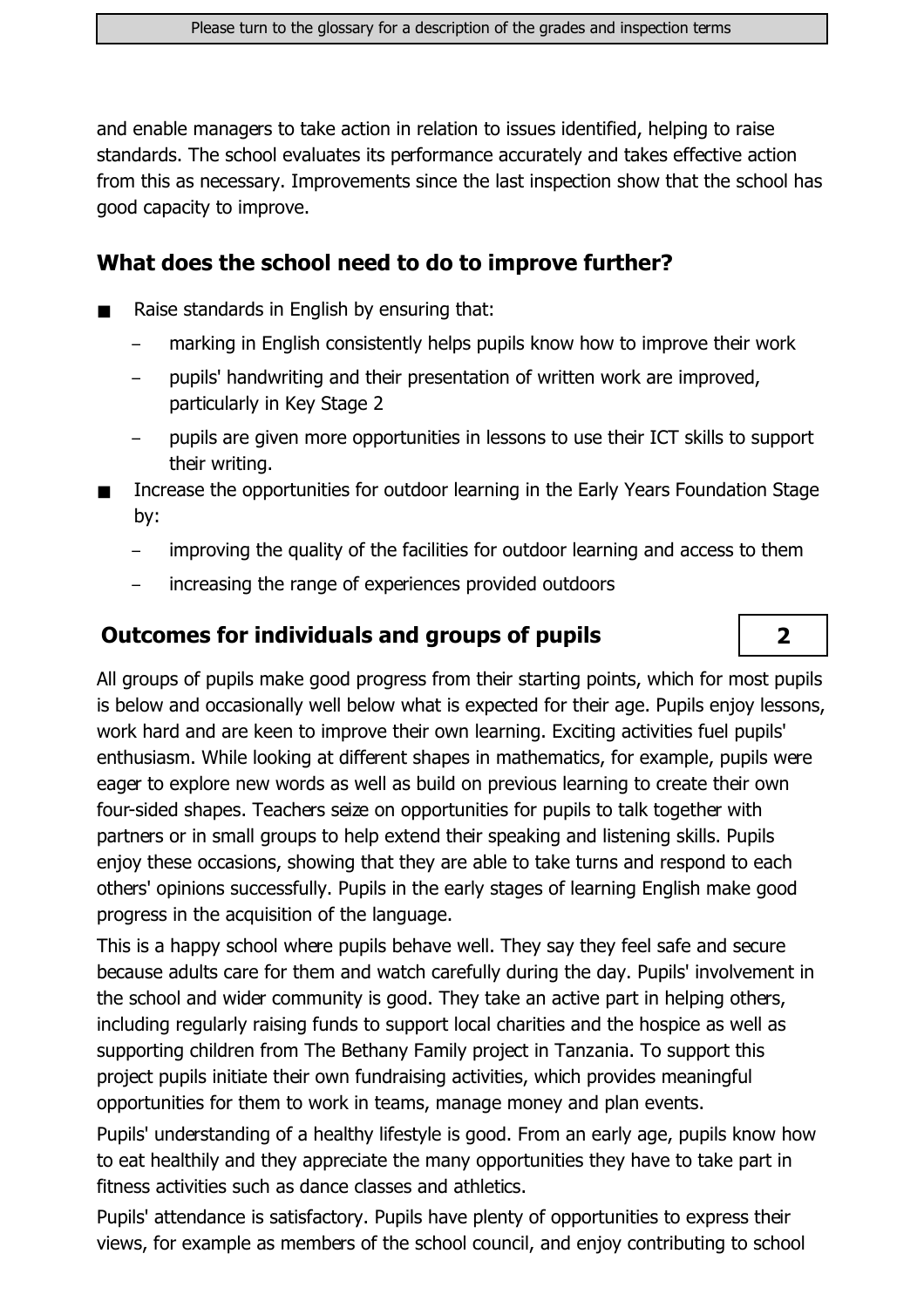and enable managers to take action in relation to issues identified, helping to raise standards. The school evaluates its performance accurately and takes effective action from this as necessary. Improvements since the last inspection show that the school has good capacity to improve.

#### What does the school need to do to improve further?

- Raise standards in English by ensuring that:
	- marking in English consistently helps pupils know how to improve their work
	- pupils' handwriting and their presentation of written work are improved,  $\overline{\phantom{0}}$ particularly in Key Stage 2
	- pupils are given more opportunities in lessons to use their ICT skills to support their writing.
- Increase the opportunities for outdoor learning in the Early Years Foundation Stage by:
	- $\equiv$ improving the quality of the facilities for outdoor learning and access to them

 $\overline{2}$ 

increasing the range of experiences provided outdoors

#### **Outcomes for individuals and groups of pupils**

All groups of pupils make good progress from their starting points, which for most pupils is below and occasionally well below what is expected for their age. Pupils enjoy lessons, work hard and are keen to improve their own learning. Exciting activities fuel pupils' enthusiasm. While looking at different shapes in mathematics, for example, pupils were eager to explore new words as well as build on previous learning to create their own four-sided shapes. Teachers seize on opportunities for pupils to talk together with partners or in small groups to help extend their speaking and listening skills. Pupils enjoy these occasions, showing that they are able to take turns and respond to each others' opinions successfully. Pupils in the early stages of learning English make good progress in the acquisition of the language.

This is a happy school where pupils behave well. They say they feel safe and secure because adults care for them and watch carefully during the day. Pupils' involvement in the school and wider community is good. They take an active part in helping others, including regularly raising funds to support local charities and the hospice as well as supporting children from The Bethany Family project in Tanzania. To support this project pupils initiate their own fundraising activities, which provides meaningful opportunities for them to work in teams, manage money and plan events.

Pupils' understanding of a healthy lifestyle is good. From an early age, pupils know how to eat healthily and they appreciate the many opportunities they have to take part in fitness activities such as dance classes and athletics.

Pupils' attendance is satisfactory. Pupils have plenty of opportunities to express their views, for example as members of the school council, and enjoy contributing to school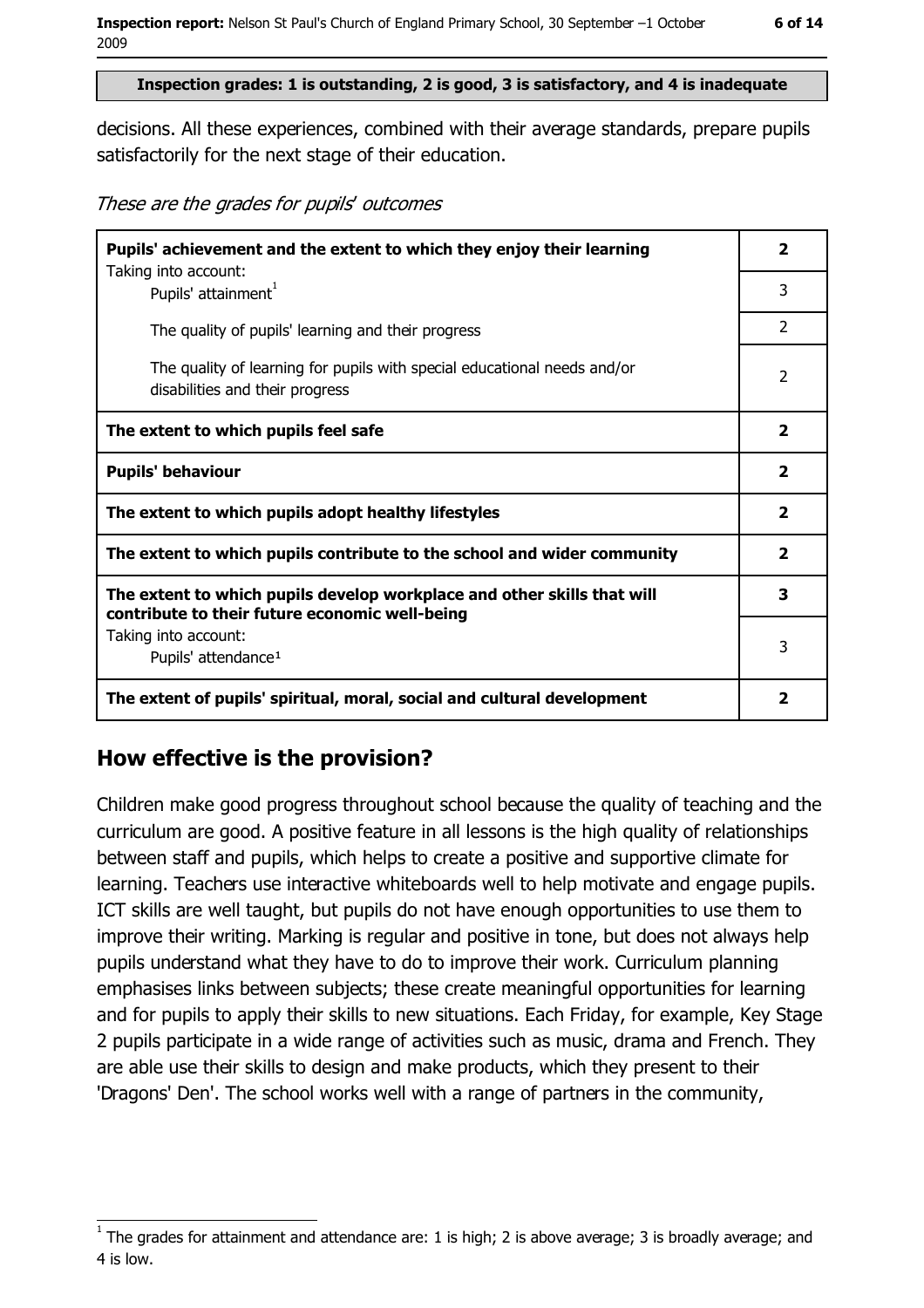#### Inspection grades: 1 is outstanding, 2 is good, 3 is satisfactory, and 4 is inadequate

decisions. All these experiences, combined with their average standards, prepare pupils satisfactorily for the next stage of their education.

These are the grades for pupils' outcomes

| Pupils' achievement and the extent to which they enjoy their learning                                                     |                         |  |
|---------------------------------------------------------------------------------------------------------------------------|-------------------------|--|
| Taking into account:<br>Pupils' attainment <sup>1</sup>                                                                   | 3                       |  |
| The quality of pupils' learning and their progress                                                                        | $\overline{2}$          |  |
| The quality of learning for pupils with special educational needs and/or<br>disabilities and their progress               | $\overline{2}$          |  |
| The extent to which pupils feel safe                                                                                      |                         |  |
| <b>Pupils' behaviour</b>                                                                                                  |                         |  |
| The extent to which pupils adopt healthy lifestyles                                                                       | $\overline{2}$          |  |
| The extent to which pupils contribute to the school and wider community                                                   |                         |  |
| The extent to which pupils develop workplace and other skills that will<br>contribute to their future economic well-being |                         |  |
| Taking into account:                                                                                                      | 3                       |  |
| Pupils' attendance <sup>1</sup>                                                                                           |                         |  |
| The extent of pupils' spiritual, moral, social and cultural development                                                   | $\overline{\mathbf{2}}$ |  |

#### How effective is the provision?

Children make good progress throughout school because the quality of teaching and the curriculum are good. A positive feature in all lessons is the high quality of relationships between staff and pupils, which helps to create a positive and supportive climate for learning. Teachers use interactive whiteboards well to help motivate and engage pupils. ICT skills are well taught, but pupils do not have enough opportunities to use them to improve their writing. Marking is regular and positive in tone, but does not always help pupils understand what they have to do to improve their work. Curriculum planning emphasises links between subjects; these create meaningful opportunities for learning and for pupils to apply their skills to new situations. Each Friday, for example, Key Stage 2 pupils participate in a wide range of activities such as music, drama and French. They are able use their skills to design and make products, which they present to their 'Dragons' Den'. The school works well with a range of partners in the community,

The grades for attainment and attendance are: 1 is high; 2 is above average; 3 is broadly average; and 4 is low.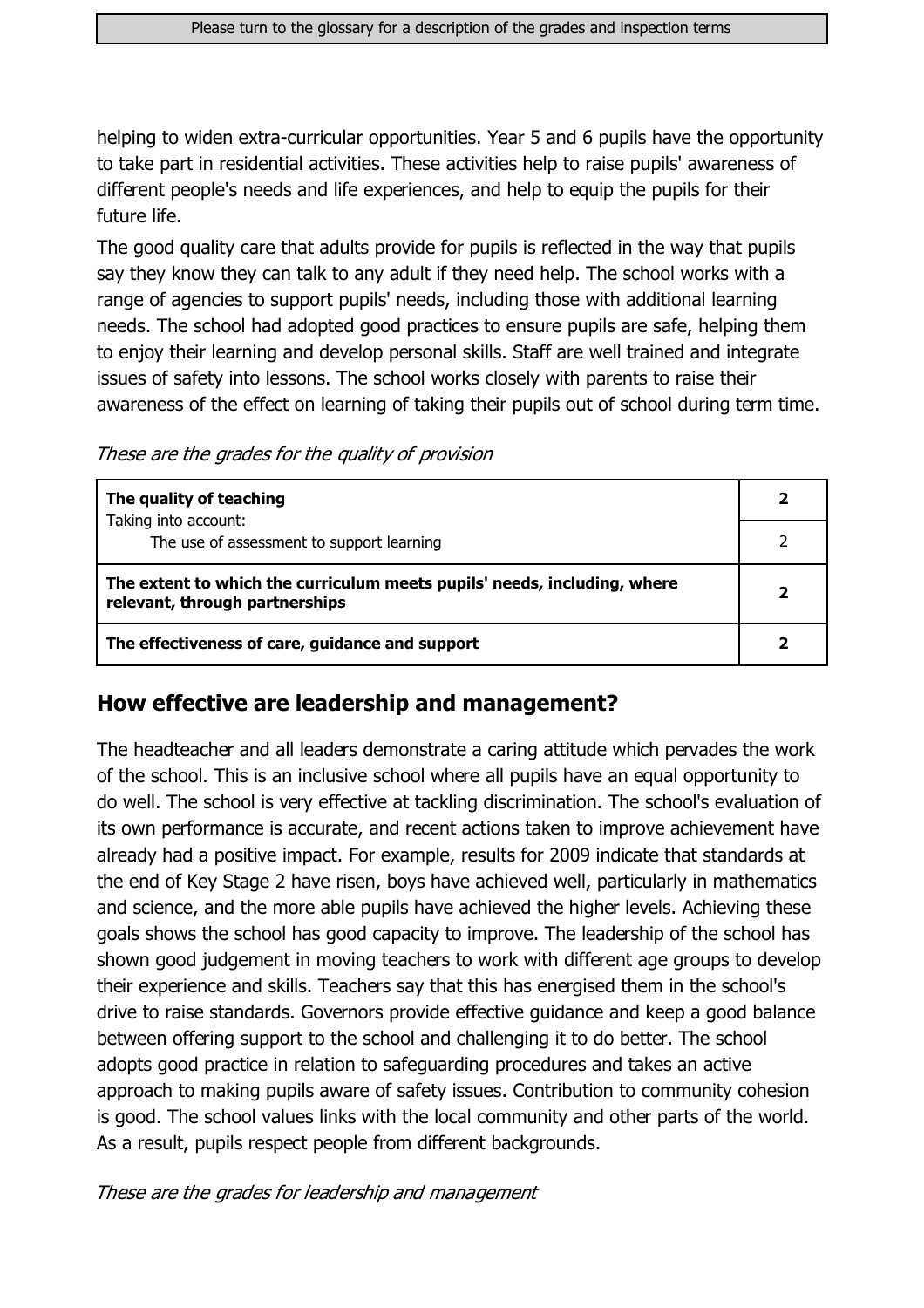helping to widen extra-curricular opportunities. Year 5 and 6 pupils have the opportunity to take part in residential activities. These activities help to raise pupils' awareness of different people's needs and life experiences, and help to equip the pupils for their future life.

The good quality care that adults provide for pupils is reflected in the way that pupils say they know they can talk to any adult if they need help. The school works with a range of agencies to support pupils' needs, including those with additional learning needs. The school had adopted good practices to ensure pupils are safe, helping them to enjoy their learning and develop personal skills. Staff are well trained and integrate issues of safety into lessons. The school works closely with parents to raise their awareness of the effect on learning of taking their pupils out of school during term time.

These are the grades for the quality of provision

| The quality of teaching                                                                                    |  |
|------------------------------------------------------------------------------------------------------------|--|
| Taking into account:<br>The use of assessment to support learning                                          |  |
| The extent to which the curriculum meets pupils' needs, including, where<br>relevant, through partnerships |  |
| The effectiveness of care, guidance and support                                                            |  |

#### How effective are leadership and management?

The headteacher and all leaders demonstrate a caring attitude which pervades the work of the school. This is an inclusive school where all pupils have an equal opportunity to do well. The school is very effective at tackling discrimination. The school's evaluation of its own performance is accurate, and recent actions taken to improve achievement have already had a positive impact. For example, results for 2009 indicate that standards at the end of Key Stage 2 have risen, boys have achieved well, particularly in mathematics and science, and the more able pupils have achieved the higher levels. Achieving these goals shows the school has good capacity to improve. The leadership of the school has shown good judgement in moving teachers to work with different age groups to develop their experience and skills. Teachers say that this has energised them in the school's drive to raise standards. Governors provide effective guidance and keep a good balance between offering support to the school and challenging it to do better. The school adopts good practice in relation to safeguarding procedures and takes an active approach to making pupils aware of safety issues. Contribution to community cohesion is good. The school values links with the local community and other parts of the world. As a result, pupils respect people from different backgrounds.

These are the grades for leadership and management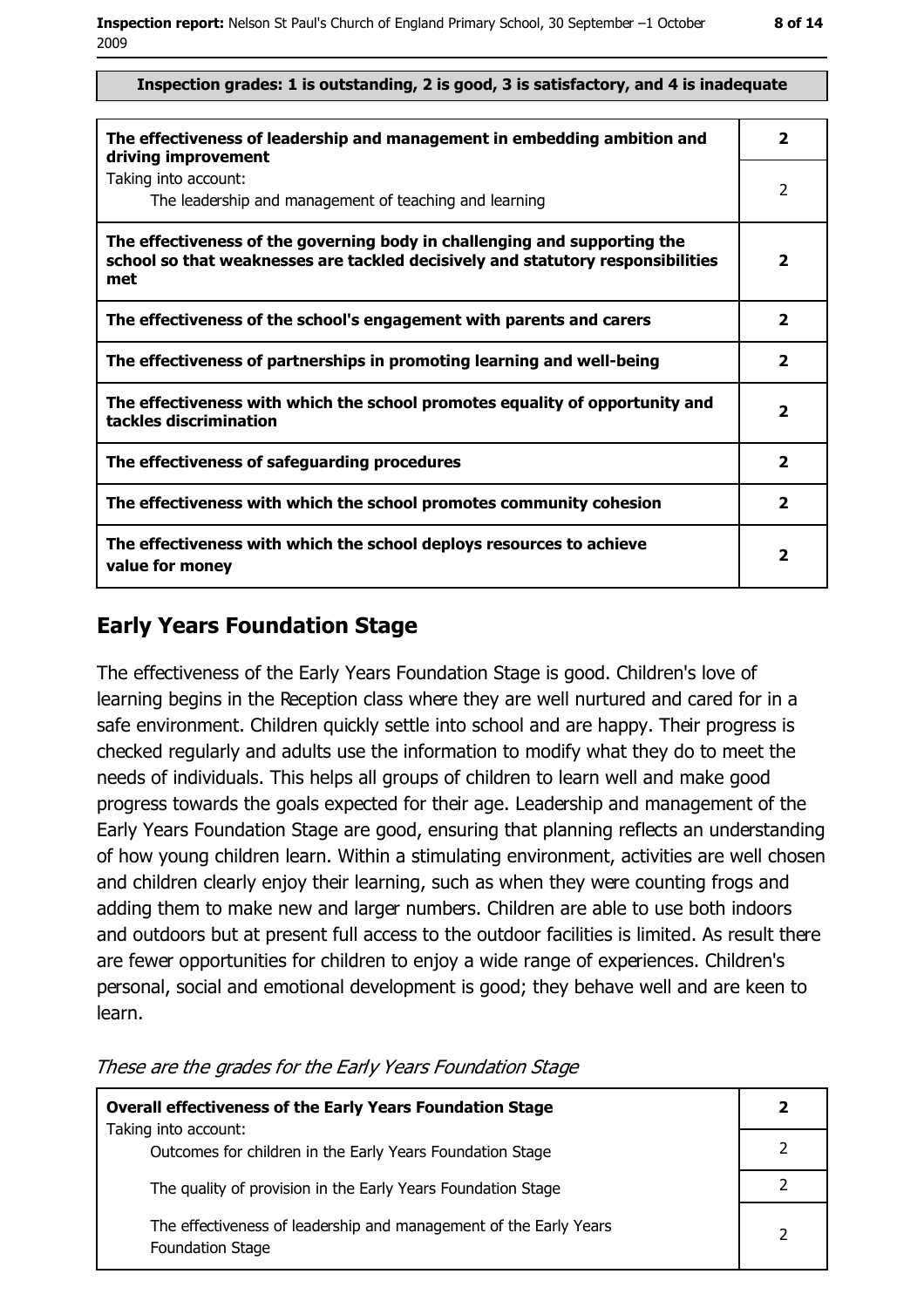#### Inspection grades: 1 is outstanding, 2 is good, 3 is satisfactory, and 4 is inadequate

| The effectiveness of leadership and management in embedding ambition and<br>driving improvement                                                                     | 2                       |
|---------------------------------------------------------------------------------------------------------------------------------------------------------------------|-------------------------|
| Taking into account:<br>The leadership and management of teaching and learning                                                                                      | 2                       |
| The effectiveness of the governing body in challenging and supporting the<br>school so that weaknesses are tackled decisively and statutory responsibilities<br>met | $\overline{\mathbf{2}}$ |
| The effectiveness of the school's engagement with parents and carers                                                                                                | $\mathbf{z}$            |
| The effectiveness of partnerships in promoting learning and well-being                                                                                              | 2                       |
| The effectiveness with which the school promotes equality of opportunity and<br>tackles discrimination                                                              | 2                       |
| The effectiveness of safeguarding procedures                                                                                                                        | $\overline{\mathbf{2}}$ |
| The effectiveness with which the school promotes community cohesion                                                                                                 | $\mathbf{2}$            |
| The effectiveness with which the school deploys resources to achieve<br>value for money                                                                             | 2                       |

#### **Early Years Foundation Stage**

The effectiveness of the Early Years Foundation Stage is good. Children's love of learning begins in the Reception class where they are well nurtured and cared for in a safe environment. Children quickly settle into school and are happy. Their progress is checked regularly and adults use the information to modify what they do to meet the needs of individuals. This helps all groups of children to learn well and make good progress towards the goals expected for their age. Leadership and management of the Early Years Foundation Stage are good, ensuring that planning reflects an understanding of how young children learn. Within a stimulating environment, activities are well chosen and children clearly enjoy their learning, such as when they were counting frogs and adding them to make new and larger numbers. Children are able to use both indoors and outdoors but at present full access to the outdoor facilities is limited. As result there are fewer opportunities for children to enjoy a wide range of experiences. Children's personal, social and emotional development is good; they behave well and are keen to learn.

**Overall effectiveness of the Early Years Foundation Stage**  $\overline{2}$ Taking into account:  $\overline{2}$ Outcomes for children in the Early Years Foundation Stage  $\overline{2}$ The quality of provision in the Early Years Foundation Stage The effectiveness of leadership and management of the Early Years  $\overline{2}$ **Foundation Stage** 

These are the grades for the Early Years Foundation Stage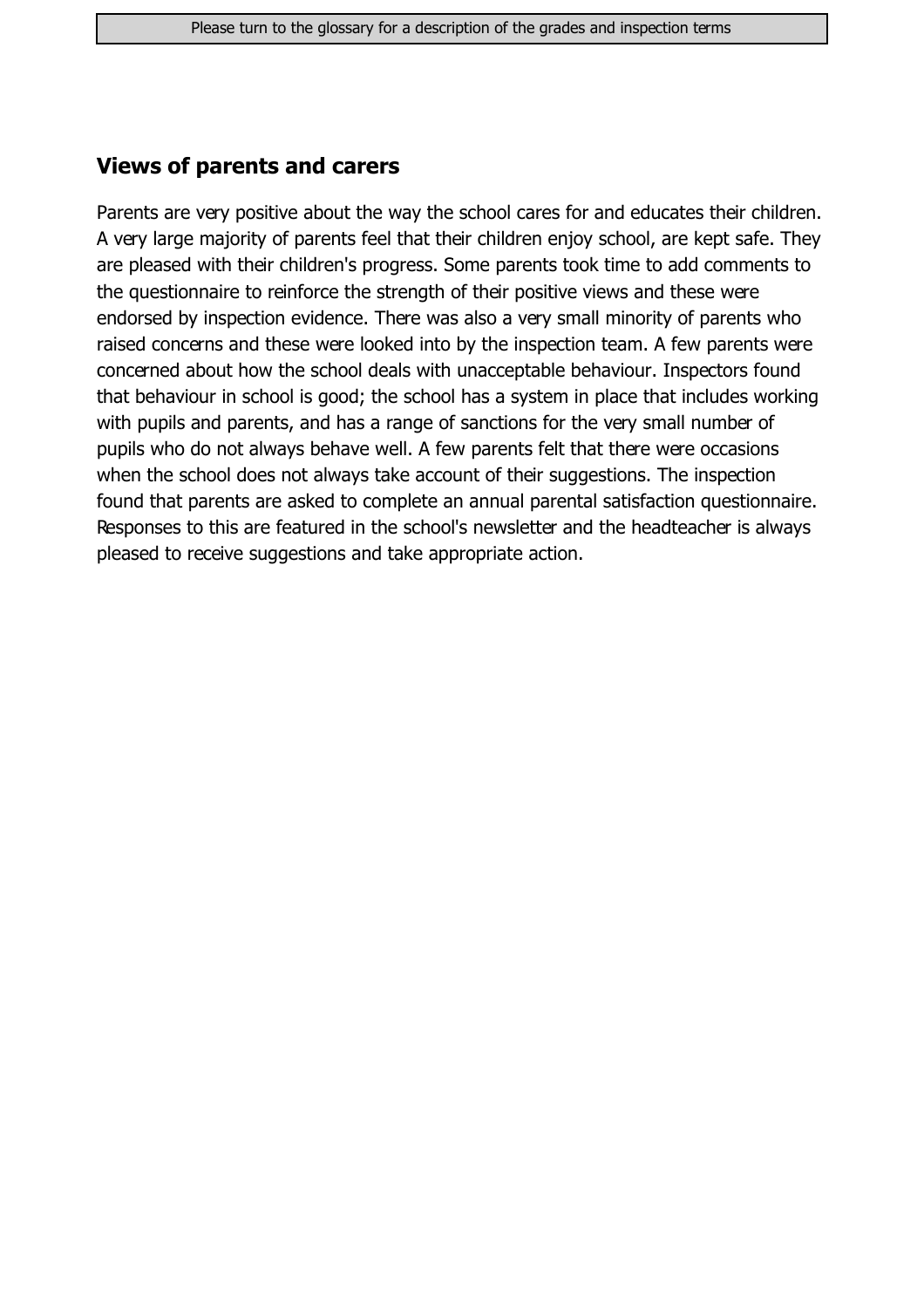#### **Views of parents and carers**

Parents are very positive about the way the school cares for and educates their children. A very large majority of parents feel that their children enjoy school, are kept safe. They are pleased with their children's progress. Some parents took time to add comments to the questionnaire to reinforce the strength of their positive views and these were endorsed by inspection evidence. There was also a very small minority of parents who raised concerns and these were looked into by the inspection team. A few parents were concerned about how the school deals with unacceptable behaviour. Inspectors found that behaviour in school is good; the school has a system in place that includes working with pupils and parents, and has a range of sanctions for the very small number of pupils who do not always behave well. A few parents felt that there were occasions when the school does not always take account of their suggestions. The inspection found that parents are asked to complete an annual parental satisfaction questionnaire. Responses to this are featured in the school's newsletter and the headteacher is always pleased to receive suggestions and take appropriate action.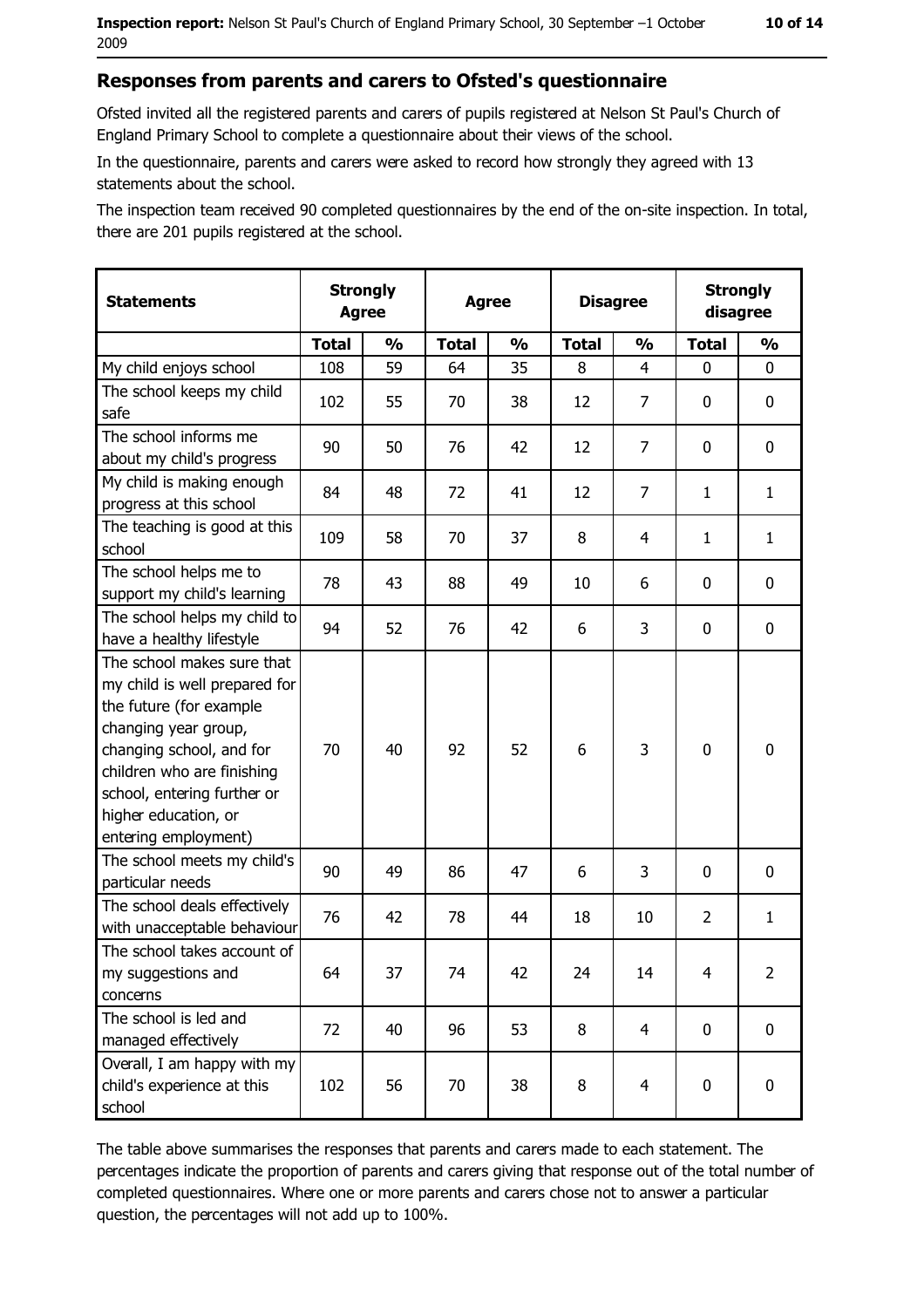#### Responses from parents and carers to Ofsted's questionnaire

Ofsted invited all the registered parents and carers of pupils registered at Nelson St Paul's Church of England Primary School to complete a questionnaire about their views of the school.

In the questionnaire, parents and carers were asked to record how strongly they agreed with 13 statements about the school.

The inspection team received 90 completed questionnaires by the end of the on-site inspection. In total, there are 201 pupils registered at the school.

| <b>Statements</b>                                                                                                                                                                                                                                       | <b>Strongly</b><br><b>Agree</b> |               | <b>Agree</b> |               | <b>Disagree</b> |                | <b>Strongly</b><br>disagree |                |
|---------------------------------------------------------------------------------------------------------------------------------------------------------------------------------------------------------------------------------------------------------|---------------------------------|---------------|--------------|---------------|-----------------|----------------|-----------------------------|----------------|
|                                                                                                                                                                                                                                                         | <b>Total</b>                    | $\frac{1}{2}$ | <b>Total</b> | $\frac{0}{0}$ | <b>Total</b>    | $\frac{1}{2}$  | <b>Total</b>                | $\frac{1}{2}$  |
| My child enjoys school                                                                                                                                                                                                                                  | 108                             | 59            | 64           | 35            | 8               | 4              | 0                           | 0              |
| The school keeps my child<br>safe                                                                                                                                                                                                                       | 102                             | 55            | 70           | 38            | 12              | 7              | 0                           | 0              |
| The school informs me<br>about my child's progress                                                                                                                                                                                                      | 90                              | 50            | 76           | 42            | 12              | 7              | 0                           | 0              |
| My child is making enough<br>progress at this school                                                                                                                                                                                                    | 84                              | 48            | 72           | 41            | 12              | 7              | 1                           | $\mathbf{1}$   |
| The teaching is good at this<br>school                                                                                                                                                                                                                  | 109                             | 58            | 70           | 37            | 8               | 4              | 1                           | $\mathbf{1}$   |
| The school helps me to<br>support my child's learning                                                                                                                                                                                                   | 78                              | 43            | 88           | 49            | 10              | 6              | 0                           | 0              |
| The school helps my child to<br>have a healthy lifestyle                                                                                                                                                                                                | 94                              | 52            | 76           | 42            | 6               | 3              | 0                           | $\mathbf 0$    |
| The school makes sure that<br>my child is well prepared for<br>the future (for example<br>changing year group,<br>changing school, and for<br>children who are finishing<br>school, entering further or<br>higher education, or<br>entering employment) | 70                              | 40            | 92           | 52            | 6               | 3              | $\mathbf 0$                 | $\mathbf 0$    |
| The school meets my child's<br>particular needs                                                                                                                                                                                                         | 90                              | 49            | 86           | 47            | 6               | 3              | 0                           | 0              |
| The school deals effectively<br>with unacceptable behaviour                                                                                                                                                                                             | 76                              | 42            | 78           | 44            | 18              | 10             | $\overline{2}$              | $\mathbf{1}$   |
| The school takes account of<br>my suggestions and<br>concerns                                                                                                                                                                                           | 64                              | 37            | 74           | 42            | 24              | 14             | 4                           | $\overline{2}$ |
| The school is led and<br>managed effectively                                                                                                                                                                                                            | 72                              | 40            | 96           | 53            | 8               | $\overline{4}$ | $\mathbf 0$                 | 0              |
| Overall, I am happy with my<br>child's experience at this<br>school                                                                                                                                                                                     | 102                             | 56            | 70           | 38            | 8               | $\overline{4}$ | 0                           | 0              |

The table above summarises the responses that parents and carers made to each statement. The percentages indicate the proportion of parents and carers giving that response out of the total number of completed questionnaires. Where one or more parents and carers chose not to answer a particular question, the percentages will not add up to 100%.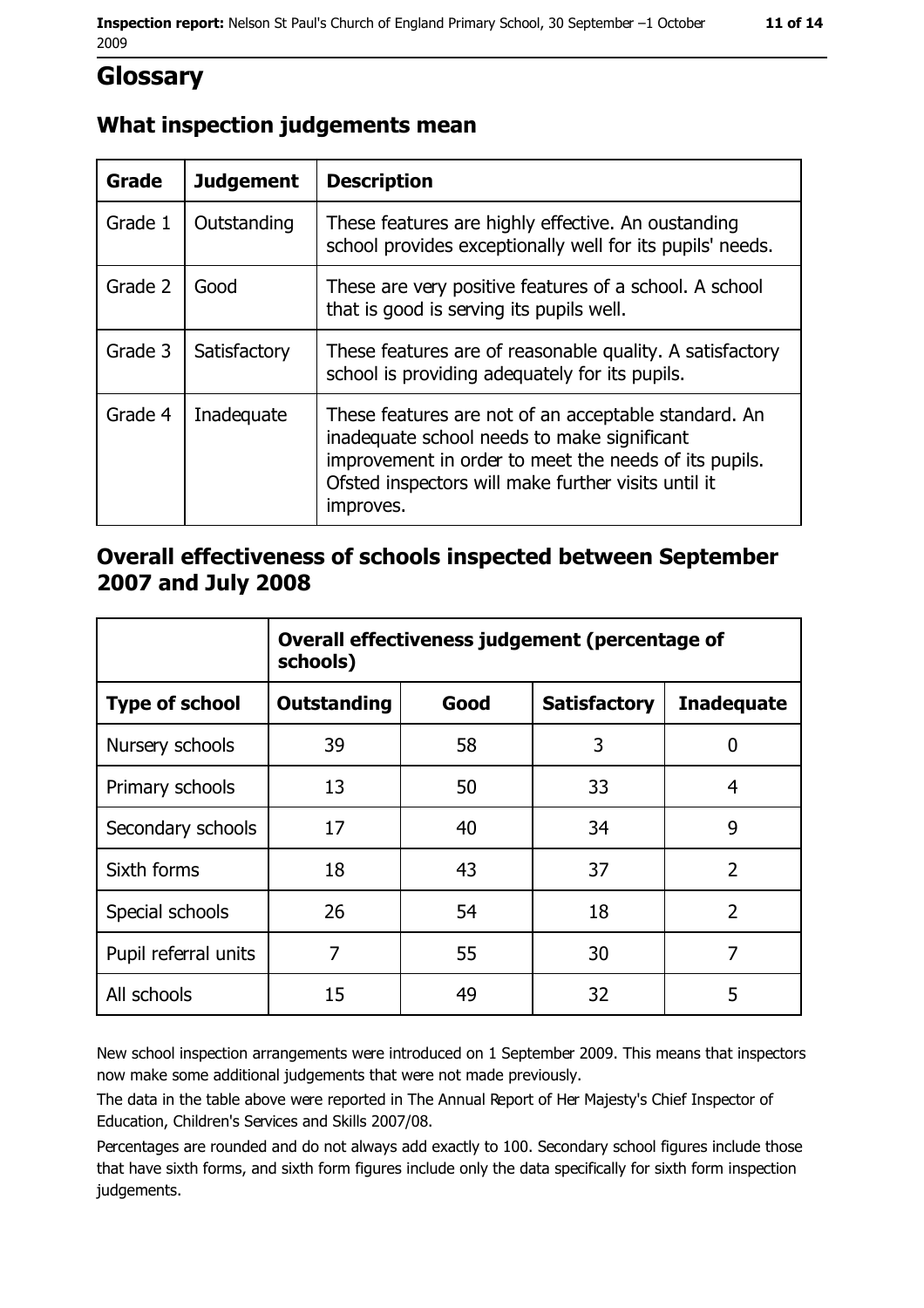## **Glossary**

### What inspection judgements mean

| Grade   | <b>Judgement</b> | <b>Description</b>                                                                                                                                                                                                               |  |
|---------|------------------|----------------------------------------------------------------------------------------------------------------------------------------------------------------------------------------------------------------------------------|--|
| Grade 1 | Outstanding      | These features are highly effective. An oustanding<br>school provides exceptionally well for its pupils' needs.                                                                                                                  |  |
| Grade 2 | Good             | These are very positive features of a school. A school<br>that is good is serving its pupils well.                                                                                                                               |  |
| Grade 3 | Satisfactory     | These features are of reasonable quality. A satisfactory<br>school is providing adequately for its pupils.                                                                                                                       |  |
| Grade 4 | Inadequate       | These features are not of an acceptable standard. An<br>inadequate school needs to make significant<br>improvement in order to meet the needs of its pupils.<br>Ofsted inspectors will make further visits until it<br>improves. |  |

#### Overall effectiveness of schools inspected between September 2007 and July 2008

|                       | Overall effectiveness judgement (percentage of<br>schools) |      |                     |                   |
|-----------------------|------------------------------------------------------------|------|---------------------|-------------------|
| <b>Type of school</b> | <b>Outstanding</b>                                         | Good | <b>Satisfactory</b> | <b>Inadequate</b> |
| Nursery schools       | 39                                                         | 58   | 3                   | 0                 |
| Primary schools       | 13                                                         | 50   | 33                  | 4                 |
| Secondary schools     | 17                                                         | 40   | 34                  | 9                 |
| Sixth forms           | 18                                                         | 43   | 37                  | $\overline{2}$    |
| Special schools       | 26                                                         | 54   | 18                  | $\overline{2}$    |
| Pupil referral units  | 7                                                          | 55   | 30                  | 7                 |
| All schools           | 15                                                         | 49   | 32                  | 5                 |

New school inspection arrangements were introduced on 1 September 2009. This means that inspectors now make some additional judgements that were not made previously.

The data in the table above were reported in The Annual Report of Her Majesty's Chief Inspector of Education, Children's Services and Skills 2007/08.

Percentages are rounded and do not always add exactly to 100. Secondary school figures include those that have sixth forms, and sixth form figures include only the data specifically for sixth form inspection judgements.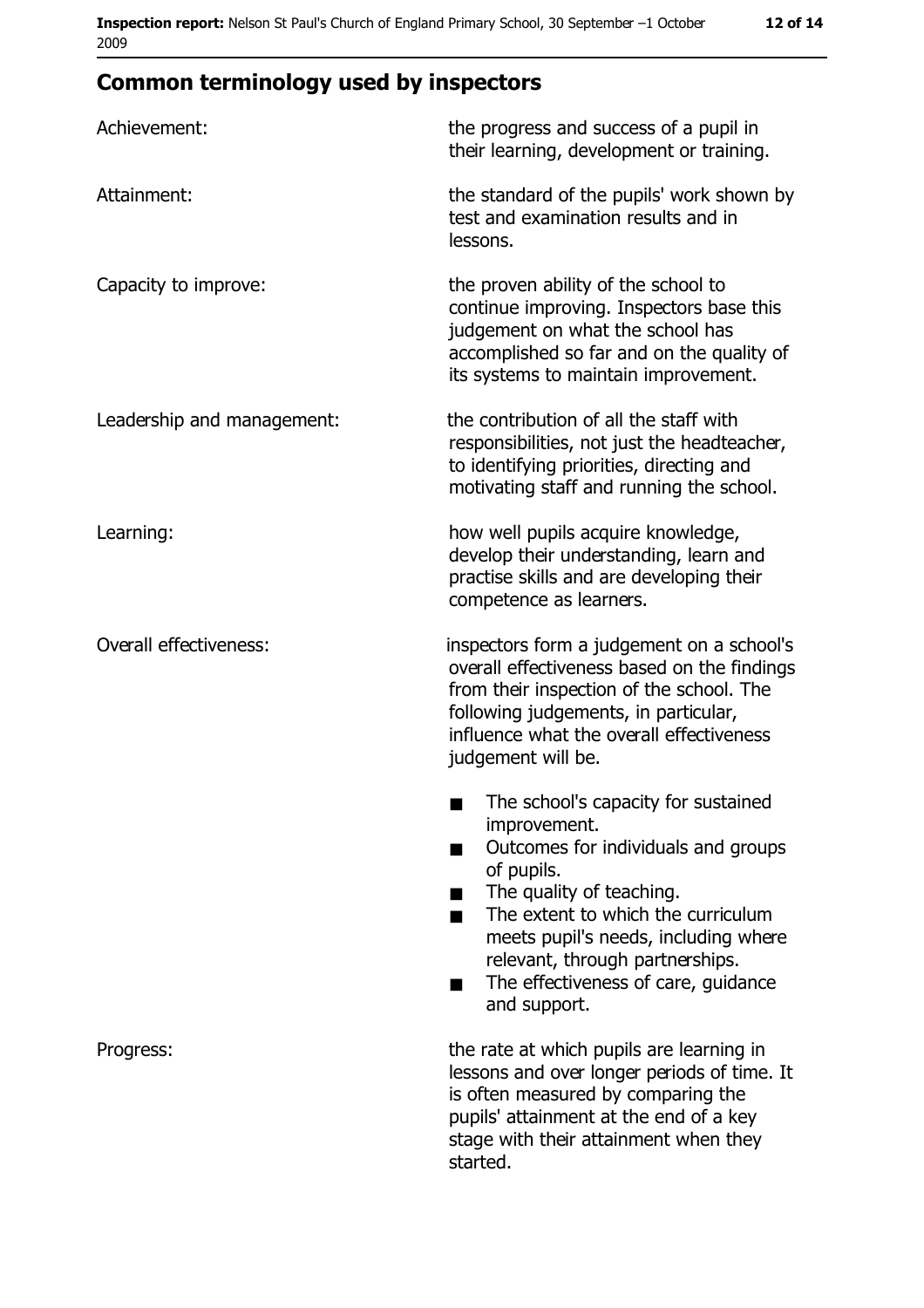## **Common terminology used by inspectors**

| Achievement:                  | the progress and success of a pupil in<br>their learning, development or training.                                                                                                                                                                                                                                |
|-------------------------------|-------------------------------------------------------------------------------------------------------------------------------------------------------------------------------------------------------------------------------------------------------------------------------------------------------------------|
| Attainment:                   | the standard of the pupils' work shown by<br>test and examination results and in<br>lessons.                                                                                                                                                                                                                      |
| Capacity to improve:          | the proven ability of the school to<br>continue improving. Inspectors base this<br>judgement on what the school has<br>accomplished so far and on the quality of<br>its systems to maintain improvement.                                                                                                          |
| Leadership and management:    | the contribution of all the staff with<br>responsibilities, not just the headteacher,<br>to identifying priorities, directing and<br>motivating staff and running the school.                                                                                                                                     |
| Learning:                     | how well pupils acquire knowledge,<br>develop their understanding, learn and<br>practise skills and are developing their<br>competence as learners.                                                                                                                                                               |
| <b>Overall effectiveness:</b> | inspectors form a judgement on a school's<br>overall effectiveness based on the findings<br>from their inspection of the school. The<br>following judgements, in particular,<br>influence what the overall effectiveness<br>judgement will be.                                                                    |
|                               | The school's capacity for sustained<br>improvement.<br>Outcomes for individuals and groups<br>of pupils.<br>The quality of teaching.<br>The extent to which the curriculum<br>٠<br>meets pupil's needs, including where<br>relevant, through partnerships.<br>The effectiveness of care, guidance<br>and support. |
| Progress:                     | the rate at which pupils are learning in<br>lessons and over longer periods of time. It<br>is often measured by comparing the<br>pupils' attainment at the end of a key<br>stage with their attainment when they<br>started.                                                                                      |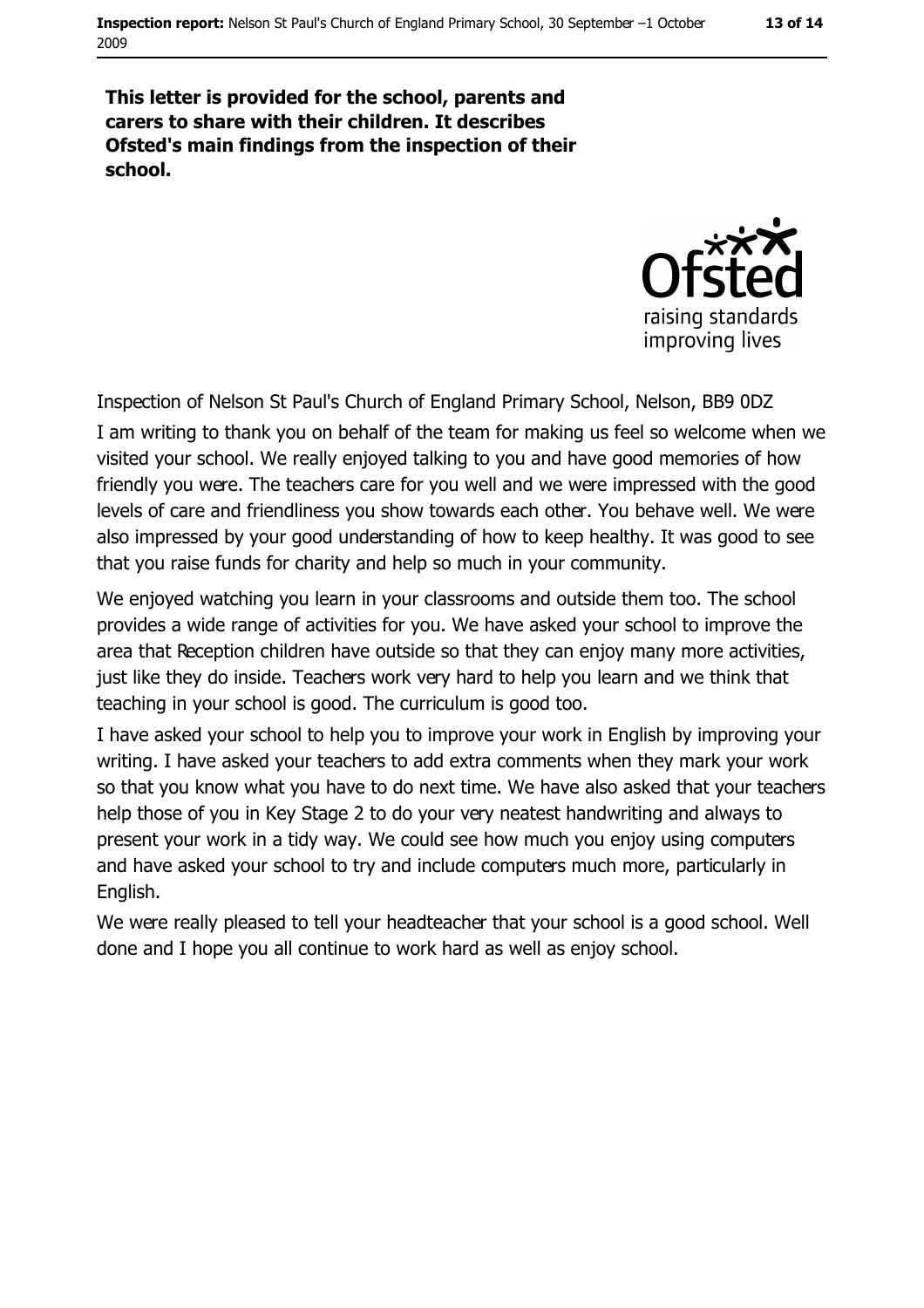#### This letter is provided for the school, parents and carers to share with their children. It describes Ofsted's main findings from the inspection of their school.



Inspection of Nelson St Paul's Church of England Primary School, Nelson, BB9 0DZ I am writing to thank you on behalf of the team for making us feel so welcome when we visited your school. We really enjoyed talking to you and have good memories of how friendly you were. The teachers care for you well and we were impressed with the good levels of care and friendliness you show towards each other. You behave well. We were also impressed by your good understanding of how to keep healthy. It was good to see that you raise funds for charity and help so much in your community.

We enjoyed watching you learn in your classrooms and outside them too. The school provides a wide range of activities for you. We have asked your school to improve the area that Reception children have outside so that they can enjoy many more activities, just like they do inside. Teachers work very hard to help you learn and we think that teaching in your school is good. The curriculum is good too.

I have asked your school to help you to improve your work in English by improving your writing. I have asked your teachers to add extra comments when they mark your work so that you know what you have to do next time. We have also asked that your teachers help those of you in Key Stage 2 to do your very neatest handwriting and always to present your work in a tidy way. We could see how much you enjoy using computers and have asked your school to try and include computers much more, particularly in English.

We were really pleased to tell your headteacher that your school is a good school. Well done and I hope you all continue to work hard as well as enjoy school.